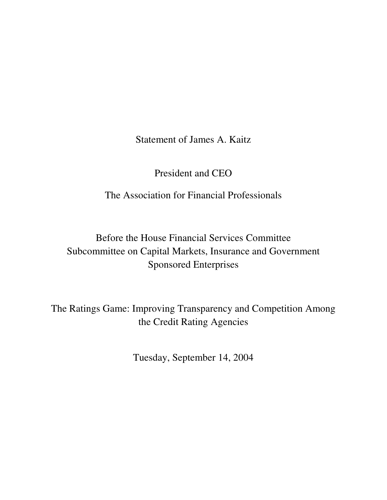Statement of James A. Kaitz

President and CEO

The Association for Financial Professionals

Before the House Financial Services Committee Subcommittee on Capital Markets, Insurance and Government Sponsored Enterprises

The Ratings Game: Improving Transparency and Competition Among the Credit Rating Agencies

Tuesday, September 14, 2004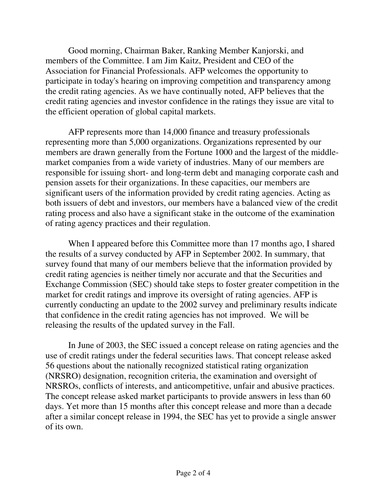Good morning, Chairman Baker, Ranking Member Kanjorski, and members of the Committee. I am Jim Kaitz, President and CEO of the Association for Financial Professionals. AFP welcomes the opportunity to participate in today's hearing on improving competition and transparency among the credit rating agencies. As we have continually noted, AFP believes that the credit rating agencies and investor confidence in the ratings they issue are vital to the efficient operation of global capital markets.

AFP represents more than 14,000 finance and treasury professionals representing more than 5,000 organizations. Organizations represented by our members are drawn generally from the Fortune 1000 and the largest of the middlemarket companies from a wide variety of industries. Many of our members are responsible for issuing short- and long-term debt and managing corporate cash and pension assets for their organizations. In these capacities, our members are significant users of the information provided by credit rating agencies. Acting as both issuers of debt and investors, our members have a balanced view of the credit rating process and also have a significant stake in the outcome of the examination of rating agency practices and their regulation.

When I appeared before this Committee more than 17 months ago, I shared the results of a survey conducted by AFP in September 2002. In summary, that survey found that many of our members believe that the information provided by credit rating agencies is neither timely nor accurate and that the Securities and Exchange Commission (SEC) should take steps to foster greater competition in the market for credit ratings and improve its oversight of rating agencies. AFP is currently conducting an update to the 2002 survey and preliminary results indicate that confidence in the credit rating agencies has not improved. We will be releasing the results of the updated survey in the Fall.

In June of 2003, the SEC issued a concept release on rating agencies and the use of credit ratings under the federal securities laws. That concept release asked 56 questions about the nationally recognized statistical rating organization (NRSRO) designation, recognition criteria, the examination and oversight of NRSROs, conflicts of interests, and anticompetitive, unfair and abusive practices. The concept release asked market participants to provide answers in less than 60 days. Yet more than 15 months after this concept release and more than a decade after a similar concept release in 1994, the SEC has yet to provide a single answer of its own.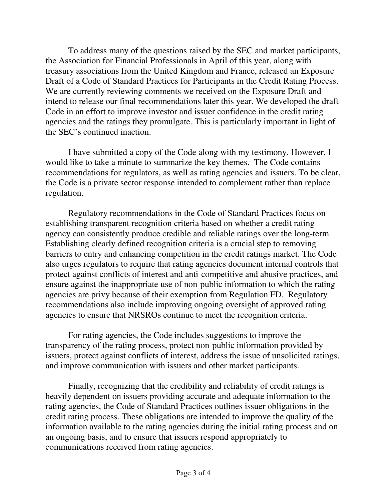To address many of the questions raised by the SEC and market participants, the Association for Financial Professionals in April of this year, along with treasury associations from the United Kingdom and France, released an Exposure Draft of a Code of Standard Practices for Participants in the Credit Rating Process. We are currently reviewing comments we received on the Exposure Draft and intend to release our final recommendations later this year. We developed the draft Code in an effort to improve investor and issuer confidence in the credit rating agencies and the ratings they promulgate. This is particularly important in light of the SEC's continued inaction.

I have submitted a copy of the Code along with my testimony. However, I would like to take a minute to summarize the key themes. The Code contains recommendations for regulators, as well as rating agencies and issuers. To be clear, the Code is a private sector response intended to complement rather than replace regulation.

Regulatory recommendations in the Code of Standard Practices focus on establishing transparent recognition criteria based on whether a credit rating agency can consistently produce credible and reliable ratings over the long-term. Establishing clearly defined recognition criteria is a crucial step to removing barriers to entry and enhancing competition in the credit ratings market. The Code also urges regulators to require that rating agencies document internal controls that protect against conflicts of interest and anti-competitive and abusive practices, and ensure against the inappropriate use of non-public information to which the rating agencies are privy because of their exemption from Regulation FD. Regulatory recommendations also include improving ongoing oversight of approved rating agencies to ensure that NRSROs continue to meet the recognition criteria.

For rating agencies, the Code includes suggestions to improve the transparency of the rating process, protect non-public information provided by issuers, protect against conflicts of interest, address the issue of unsolicited ratings, and improve communication with issuers and other market participants.

Finally, recognizing that the credibility and reliability of credit ratings is heavily dependent on issuers providing accurate and adequate information to the rating agencies, the Code of Standard Practices outlines issuer obligations in the credit rating process. These obligations are intended to improve the quality of the information available to the rating agencies during the initial rating process and on an ongoing basis, and to ensure that issuers respond appropriately to communications received from rating agencies.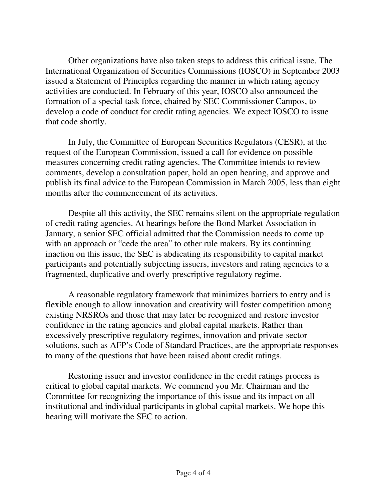Other organizations have also taken steps to address this critical issue. The International Organization of Securities Commissions (IOSCO) in September 2003 issued a Statement of Principles regarding the manner in which rating agency activities are conducted. In February of this year, IOSCO also announced the formation of a special task force, chaired by SEC Commissioner Campos, to develop a code of conduct for credit rating agencies. We expect IOSCO to issue that code shortly.

In July, the Committee of European Securities Regulators (CESR), at the request of the European Commission, issued a call for evidence on possible measures concerning credit rating agencies. The Committee intends to review comments, develop a consultation paper, hold an open hearing, and approve and publish its final advice to the European Commission in March 2005, less than eight months after the commencement of its activities.

Despite all this activity, the SEC remains silent on the appropriate regulation of credit rating agencies. At hearings before the Bond Market Association in January, a senior SEC official admitted that the Commission needs to come up with an approach or "cede the area" to other rule makers. By its continuing inaction on this issue, the SEC is abdicating its responsibility to capital market participants and potentially subjecting issuers, investors and rating agencies to a fragmented, duplicative and overly-prescriptive regulatory regime.

A reasonable regulatory framework that minimizes barriers to entry and is flexible enough to allow innovation and creativity will foster competition among existing NRSROs and those that may later be recognized and restore investor confidence in the rating agencies and global capital markets. Rather than excessively prescriptive regulatory regimes, innovation and private-sector solutions, such as AFP's Code of Standard Practices, are the appropriate responses to many of the questions that have been raised about credit ratings.

Restoring issuer and investor confidence in the credit ratings process is critical to global capital markets. We commend you Mr. Chairman and the Committee for recognizing the importance of this issue and its impact on all institutional and individual participants in global capital markets. We hope this hearing will motivate the SEC to action.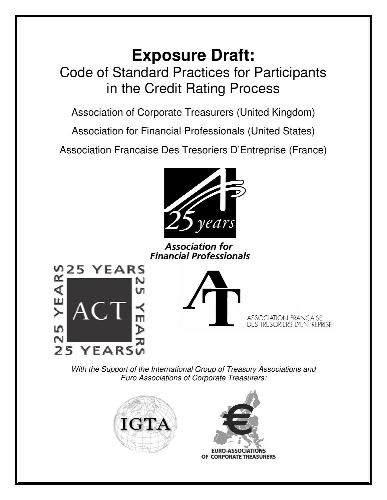# **Exposure Draft:** Code of Standard Practices for Participants in the Credit Rating Process

Association of Corporate Treasurers (United Kingdom)

Association for Financial Professionals (United States)

Association Francaise Des Tresoriers D'Entreprise (France)



**Association for Financial Professionals** 





**ASSOCIATION FRANÇAISE DES TRESORIERS D'ENTREPRISE** 

*With the Support of the International Group of Treasury Associations and Euro Associations of Corporate Treasurers:*





**EURO-ASSOCIATIONS** OF CORPORATE TREASURERS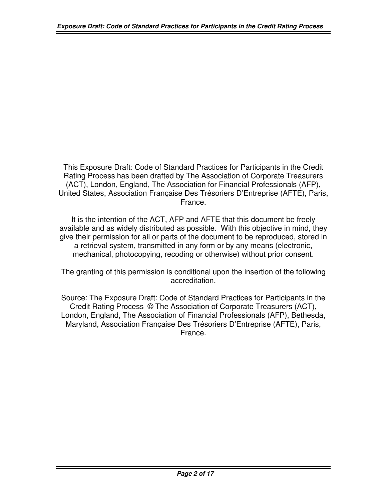This Exposure Draft: Code of Standard Practices for Participants in the Credit Rating Process has been drafted by The Association of Corporate Treasurers (ACT), London, England, The Association for Financial Professionals (AFP), United States, Association Française Des Trésoriers D'Entreprise (AFTE), Paris, France.

It is the intention of the ACT, AFP and AFTE that this document be freely available and as widely distributed as possible. With this objective in mind, they give their permission for all or parts of the document to be reproduced, stored in a retrieval system, transmitted in any form or by any means (electronic, mechanical, photocopying, recoding or otherwise) without prior consent.

The granting of this permission is conditional upon the insertion of the following accreditation.

Source: The Exposure Draft: Code of Standard Practices for Participants in the Credit Rating Process © The Association of Corporate Treasurers (ACT), London, England, The Association of Financial Professionals (AFP), Bethesda, Maryland, Association Française Des Trésoriers D'Entreprise (AFTE), Paris, France.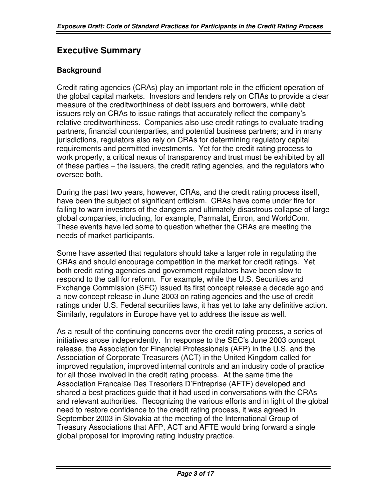# **Executive Summary**

## **Background**

Credit rating agencies (CRAs) play an important role in the efficient operation of the global capital markets. Investors and lenders rely on CRAs to provide a clear measure of the creditworthiness of debt issuers and borrowers, while debt issuers rely on CRAs to issue ratings that accurately reflect the company's relative creditworthiness. Companies also use credit ratings to evaluate trading partners, financial counterparties, and potential business partners; and in many jurisdictions, regulators also rely on CRAs for determining regulatory capital requirements and permitted investments. Yet for the credit rating process to work properly, a critical nexus of transparency and trust must be exhibited by all of these parties – the issuers, the credit rating agencies, and the regulators who oversee both.

During the past two years, however, CRAs, and the credit rating process itself, have been the subject of significant criticism. CRAs have come under fire for failing to warn investors of the dangers and ultimately disastrous collapse of large global companies, including, for example, Parmalat, Enron, and WorldCom. These events have led some to question whether the CRAs are meeting the needs of market participants.

Some have asserted that regulators should take a larger role in regulating the CRAs and should encourage competition in the market for credit ratings. Yet both credit rating agencies and government regulators have been slow to respond to the call for reform. For example, while the U.S. Securities and Exchange Commission (SEC) issued its first concept release a decade ago and a new concept release in June 2003 on rating agencies and the use of credit ratings under U.S. Federal securities laws, it has yet to take any definitive action. Similarly, regulators in Europe have yet to address the issue as well.

As a result of the continuing concerns over the credit rating process, a series of initiatives arose independently. In response to the SEC's June 2003 concept release, the Association for Financial Professionals (AFP) in the U.S. and the Association of Corporate Treasurers (ACT) in the United Kingdom called for improved regulation, improved internal controls and an industry code of practice for all those involved in the credit rating process. At the same time the Association Francaise Des Tresoriers D'Entreprise (AFTE) developed and shared a best practices guide that it had used in conversations with the CRAs and relevant authorities. Recognizing the various efforts and in light of the global need to restore confidence to the credit rating process, it was agreed in September 2003 in Slovakia at the meeting of the International Group of Treasury Associations that AFP, ACT and AFTE would bring forward a single global proposal for improving rating industry practice.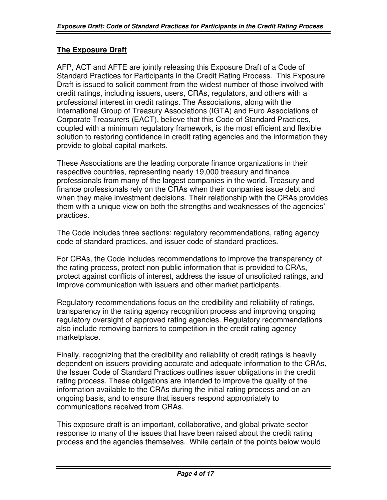## **The Exposure Draft**

AFP, ACT and AFTE are jointly releasing this Exposure Draft of a Code of Standard Practices for Participants in the Credit Rating Process. This Exposure Draft is issued to solicit comment from the widest number of those involved with credit ratings, including issuers, users, CRAs, regulators, and others with a professional interest in credit ratings. The Associations, along with the International Group of Treasury Associations (IGTA) and Euro Associations of Corporate Treasurers (EACT), believe that this Code of Standard Practices, coupled with a minimum regulatory framework, is the most efficient and flexible solution to restoring confidence in credit rating agencies and the information they provide to global capital markets.

These Associations are the leading corporate finance organizations in their respective countries, representing nearly 19,000 treasury and finance professionals from many of the largest companies in the world. Treasury and finance professionals rely on the CRAs when their companies issue debt and when they make investment decisions. Their relationship with the CRAs provides them with a unique view on both the strengths and weaknesses of the agencies' practices.

The Code includes three sections: regulatory recommendations, rating agency code of standard practices, and issuer code of standard practices.

For CRAs, the Code includes recommendations to improve the transparency of the rating process, protect non-public information that is provided to CRAs, protect against conflicts of interest, address the issue of unsolicited ratings, and improve communication with issuers and other market participants.

Regulatory recommendations focus on the credibility and reliability of ratings, transparency in the rating agency recognition process and improving ongoing regulatory oversight of approved rating agencies. Regulatory recommendations also include removing barriers to competition in the credit rating agency marketplace.

Finally, recognizing that the credibility and reliability of credit ratings is heavily dependent on issuers providing accurate and adequate information to the CRAs, the Issuer Code of Standard Practices outlines issuer obligations in the credit rating process. These obligations are intended to improve the quality of the information available to the CRAs during the initial rating process and on an ongoing basis, and to ensure that issuers respond appropriately to communications received from CRAs.

This exposure draft is an important, collaborative, and global private-sector response to many of the issues that have been raised about the credit rating process and the agencies themselves. While certain of the points below would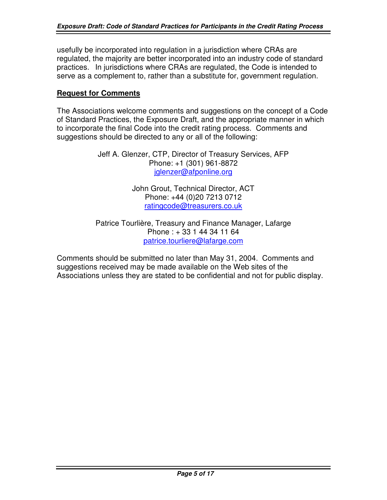usefully be incorporated into regulation in a jurisdiction where CRAs are regulated, the majority are better incorporated into an industry code of standard practices. In jurisdictions where CRAs are regulated, the Code is intended to serve as a complement to, rather than a substitute for, government regulation.

## **Request for Comments**

The Associations welcome comments and suggestions on the concept of a Code of Standard Practices, the Exposure Draft, and the appropriate manner in which to incorporate the final Code into the credit rating process. Comments and suggestions should be directed to any or all of the following:

> Jeff A. Glenzer, CTP, Director of Treasury Services, AFP Phone: +1 (301) 961-8872 iglenzer@afponline.org

> > John Grout, Technical Director, ACT Phone: +44 (0)20 7213 0712 [ratingcode@treasurers.co.uk](mailto:ratingcode@treasurers.co.uk)

Patrice Tourlière, Treasury and Finance Manager, Lafarge Phone : + 33 1 44 34 11 64 [patrice.tourliere@lafarge.com](mailto:patrice.tourliere@lafarge.com)

Comments should be submitted no later than May 31, 2004. Comments and suggestions received may be made available on the Web sites of the Associations unless they are stated to be confidential and not for public display.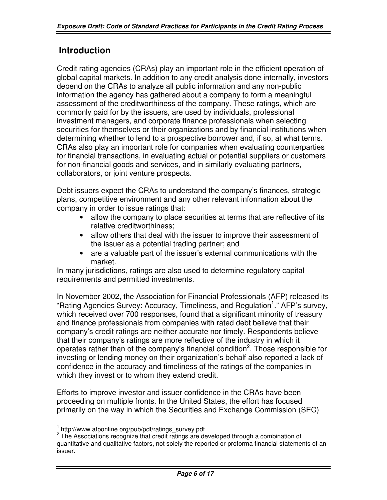# **Introduction**

Credit rating agencies (CRAs) play an important role in the efficient operation of global capital markets. In addition to any credit analysis done internally, investors depend on the CRAs to analyze all public information and any non-public information the agency has gathered about a company to form a meaningful assessment of the creditworthiness of the company. These ratings, which are commonly paid for by the issuers, are used by individuals, professional investment managers, and corporate finance professionals when selecting securities for themselves or their organizations and by financial institutions when determining whether to lend to a prospective borrower and, if so, at what terms. CRAs also play an important role for companies when evaluating counterparties for financial transactions, in evaluating actual or potential suppliers or customers for non-financial goods and services, and in similarly evaluating partners, collaborators, or joint venture prospects.

Debt issuers expect the CRAs to understand the company's finances, strategic plans, competitive environment and any other relevant information about the company in order to issue ratings that:

- allow the company to place securities at terms that are reflective of its relative creditworthiness;
- allow others that deal with the issuer to improve their assessment of the issuer as a potential trading partner; and
- are a valuable part of the issuer's external communications with the market.

In many jurisdictions, ratings are also used to determine regulatory capital requirements and permitted investments.

In November 2002, the Association for Financial Professionals (AFP) released its "Rating Agencies Survey: Accuracy, Timeliness, and Regulation<sup>1</sup>." AFP's survey, which received over 700 responses, found that a significant minority of treasury and finance professionals from companies with rated debt believe that their company's credit ratings are neither accurate nor timely. Respondents believe that their company's ratings are more reflective of the industry in which it operates rather than of the company's financial condition<sup>2</sup>. Those responsible for investing or lending money on their organization's behalf also reported a lack of confidence in the accuracy and timeliness of the ratings of the companies in which they invest or to whom they extend credit.

Efforts to improve investor and issuer confidence in the CRAs have been proceeding on multiple fronts. In the United States, the effort has focused primarily on the way in which the Securities and Exchange Commission (SEC)

<sup>1</sup> http://www.afponline.org/pub/pdf/ratings\_survey.pdf

 $2$  The Associations recognize that credit ratings are developed through a combination of quantitative and qualitative factors, not solely the reported or proforma financial statements of an issuer.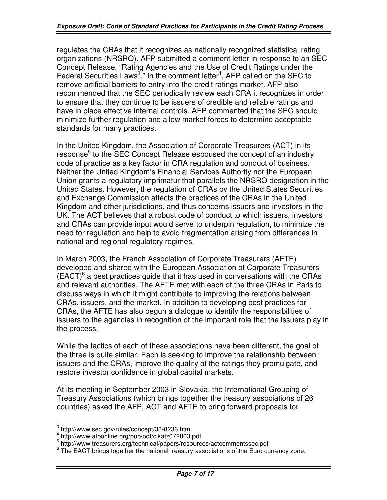regulates the CRAs that it recognizes as nationally recognized statistical rating organizations (NRSRO). AFP submitted a comment letter in response to an SEC Concept Release, "Rating Agencies and the Use of Credit Ratings under the Federal Securities Laws<sup>3</sup>." In the comment letter<sup>4</sup>, AFP called on the SEC to remove artificial barriers to entry into the credit ratings market. AFP also recommended that the SEC periodically review each CRA it recognizes in order to ensure that they continue to be issuers of credible and reliable ratings and have in place effective internal controls. AFP commented that the SEC should minimize further regulation and allow market forces to determine acceptable standards for many practices.

In the United Kingdom, the Association of Corporate Treasurers (ACT) in its response<sup>5</sup> to the SEC Concept Release espoused the concept of an industry code of practice as a key factor in CRA regulation and conduct of business. Neither the United Kingdom's Financial Services Authority nor the European Union grants a regulatory imprimatur that parallels the NRSRO designation in the United States. However, the regulation of CRAs by the United States Securities and Exchange Commission affects the practices of the CRAs in the United Kingdom and other jurisdictions, and thus concerns issuers and investors in the UK. The ACT believes that a robust code of conduct to which issuers, investors and CRAs can provide input would serve to underpin regulation, to minimize the need for regulation and help to avoid fragmentation arising from differences in national and regional regulatory regimes.

In March 2003, the French Association of Corporate Treasurers (AFTE) developed and shared with the European Association of Corporate Treasurers  $(EACT)^6$  a best practices guide that it has used in conversations with the CRAs and relevant authorities. The AFTE met with each of the three CRAs in Paris to discuss ways in which it might contribute to improving the relations between CRAs, issuers, and the market. In addition to developing best practices for CRAs, the AFTE has also begun a dialogue to identify the responsibilities of issuers to the agencies in recognition of the important role that the issuers play in the process.

While the tactics of each of these associations have been different, the goal of the three is quite similar. Each is seeking to improve the relationship between issuers and the CRAs, improve the quality of the ratings they promulgate, and restore investor confidence in global capital markets.

At its meeting in September 2003 in Slovakia, the International Grouping of Treasury Associations (which brings together the treasury associations of 26 countries) asked the AFP, ACT and AFTE to bring forward proposals for

<sup>&</sup>lt;sup>3</sup> http://www.sec.gov/rules/concept/33-8236.htm<br><sup>4</sup> http://www.afponline.org/pub/pdf/clkatz072803.pdf<br><sup>5</sup> http://www.treasurers.org/technical/papers/resources/actcommentssec.pdf

 $6$  The EACT brings together the national treasury associations of the Euro currency zone.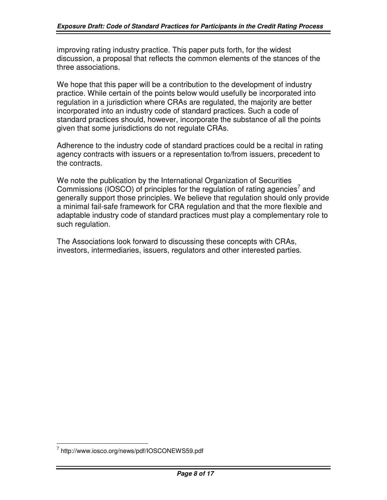improving rating industry practice. This paper puts forth, for the widest discussion, a proposal that reflects the common elements of the stances of the three associations.

We hope that this paper will be a contribution to the development of industry practice. While certain of the points below would usefully be incorporated into regulation in a jurisdiction where CRAs are regulated, the majority are better incorporated into an industry code of standard practices. Such a code of standard practices should, however, incorporate the substance of all the points given that some jurisdictions do not regulate CRAs.

Adherence to the industry code of standard practices could be a recital in rating agency contracts with issuers or a representation to/from issuers, precedent to the contracts.

We note the publication by the International Organization of Securities Commissions (IOSCO) of principles for the regulation of rating agencies<sup>7</sup> and generally support those principles. We believe that regulation should only provide a minimal fail-safe framework for CRA regulation and that the more flexible and adaptable industry code of standard practices must play a complementary role to such regulation.

The Associations look forward to discussing these concepts with CRAs, investors, intermediaries, issuers, regulators and other interested parties.

<sup>7</sup> http://www.iosco.org/news/pdf/IOSCONEWS59.pdf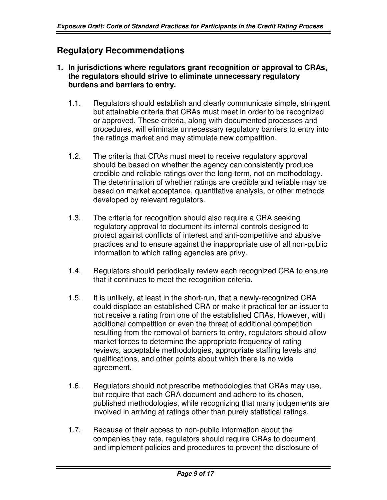# **Regulatory Recommendations**

- **1. In jurisdictions where regulators grant recognition or approval to CRAs, the regulators should strive to eliminate unnecessary regulatory burdens and barriers to entry.**
	- 1.1. Regulators should establish and clearly communicate simple, stringent but attainable criteria that CRAs must meet in order to be recognized or approved. These criteria, along with documented processes and procedures, will eliminate unnecessary regulatory barriers to entry into the ratings market and may stimulate new competition.
	- 1.2. The criteria that CRAs must meet to receive regulatory approval should be based on whether the agency can consistently produce credible and reliable ratings over the long-term, not on methodology. The determination of whether ratings are credible and reliable may be based on market acceptance, quantitative analysis, or other methods developed by relevant regulators.
	- 1.3. The criteria for recognition should also require a CRA seeking regulatory approval to document its internal controls designed to protect against conflicts of interest and anti-competitive and abusive practices and to ensure against the inappropriate use of all non-public information to which rating agencies are privy.
	- 1.4. Regulators should periodically review each recognized CRA to ensure that it continues to meet the recognition criteria.
	- 1.5. It is unlikely, at least in the short-run, that a newly-recognized CRA could displace an established CRA or make it practical for an issuer to not receive a rating from one of the established CRAs. However, with additional competition or even the threat of additional competition resulting from the removal of barriers to entry, regulators should allow market forces to determine the appropriate frequency of rating reviews, acceptable methodologies, appropriate staffing levels and qualifications, and other points about which there is no wide agreement.
	- 1.6. Regulators should not prescribe methodologies that CRAs may use, but require that each CRA document and adhere to its chosen, published methodologies, while recognizing that many judgements are involved in arriving at ratings other than purely statistical ratings.
	- 1.7. Because of their access to non-public information about the companies they rate, regulators should require CRAs to document and implement policies and procedures to prevent the disclosure of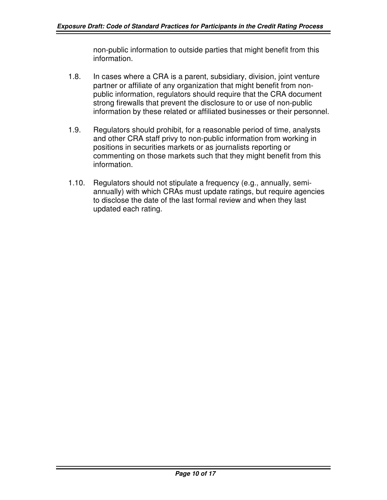non-public information to outside parties that might benefit from this information.

- 1.8. In cases where a CRA is a parent, subsidiary, division, joint venture partner or affiliate of any organization that might benefit from nonpublic information, regulators should require that the CRA document strong firewalls that prevent the disclosure to or use of non-public information by these related or affiliated businesses or their personnel.
- 1.9. Regulators should prohibit, for a reasonable period of time, analysts and other CRA staff privy to non-public information from working in positions in securities markets or as journalists reporting or commenting on those markets such that they might benefit from this information.
- 1.10. Regulators should not stipulate a frequency (e.g., annually, semiannually) with which CRAs must update ratings, but require agencies to disclose the date of the last formal review and when they last updated each rating.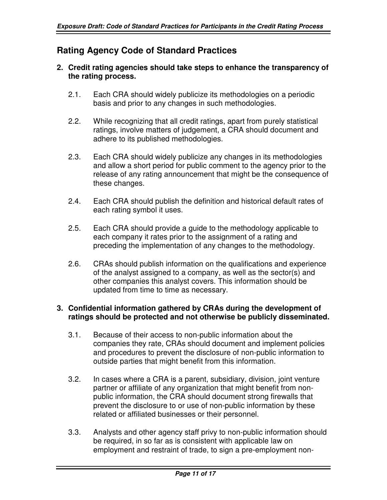# **Rating Agency Code of Standard Practices**

## **2. Credit rating agencies should take steps to enhance the transparency of the rating process.**

- 2.1. Each CRA should widely publicize its methodologies on a periodic basis and prior to any changes in such methodologies.
- 2.2. While recognizing that all credit ratings, apart from purely statistical ratings, involve matters of judgement, a CRA should document and adhere to its published methodologies.
- 2.3. Each CRA should widely publicize any changes in its methodologies and allow a short period for public comment to the agency prior to the release of any rating announcement that might be the consequence of these changes.
- 2.4. Each CRA should publish the definition and historical default rates of each rating symbol it uses.
- 2.5. Each CRA should provide a guide to the methodology applicable to each company it rates prior to the assignment of a rating and preceding the implementation of any changes to the methodology.
- 2.6. CRAs should publish information on the qualifications and experience of the analyst assigned to a company, as well as the sector(s) and other companies this analyst covers. This information should be updated from time to time as necessary.

## **3. Confidential information gathered by CRAs during the development of ratings should be protected and not otherwise be publicly disseminated.**

- 3.1. Because of their access to non-public information about the companies they rate, CRAs should document and implement policies and procedures to prevent the disclosure of non-public information to outside parties that might benefit from this information.
- 3.2. In cases where a CRA is a parent, subsidiary, division, joint venture partner or affiliate of any organization that might benefit from nonpublic information, the CRA should document strong firewalls that prevent the disclosure to or use of non-public information by these related or affiliated businesses or their personnel.
- 3.3. Analysts and other agency staff privy to non-public information should be required, in so far as is consistent with applicable law on employment and restraint of trade, to sign a pre-employment non-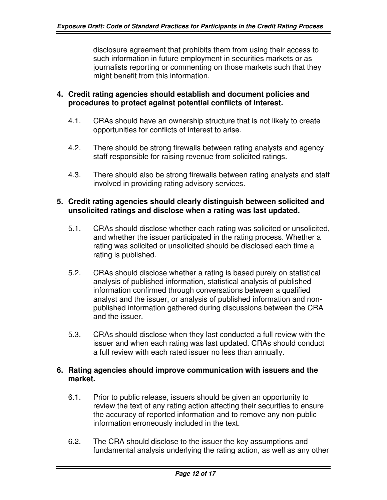disclosure agreement that prohibits them from using their access to such information in future employment in securities markets or as journalists reporting or commenting on those markets such that they might benefit from this information.

## **4. Credit rating agencies should establish and document policies and procedures to protect against potential conflicts of interest.**

- 4.1. CRAs should have an ownership structure that is not likely to create opportunities for conflicts of interest to arise.
- 4.2. There should be strong firewalls between rating analysts and agency staff responsible for raising revenue from solicited ratings.
- 4.3. There should also be strong firewalls between rating analysts and staff involved in providing rating advisory services.

## **5. Credit rating agencies should clearly distinguish between solicited and unsolicited ratings and disclose when a rating was last updated.**

- 5.1. CRAs should disclose whether each rating was solicited or unsolicited, and whether the issuer participated in the rating process. Whether a rating was solicited or unsolicited should be disclosed each time a rating is published.
- 5.2. CRAs should disclose whether a rating is based purely on statistical analysis of published information, statistical analysis of published information confirmed through conversations between a qualified analyst and the issuer, or analysis of published information and nonpublished information gathered during discussions between the CRA and the issuer.
- 5.3. CRAs should disclose when they last conducted a full review with the issuer and when each rating was last updated. CRAs should conduct a full review with each rated issuer no less than annually.

## **6. Rating agencies should improve communication with issuers and the market.**

- 6.1. Prior to public release, issuers should be given an opportunity to review the text of any rating action affecting their securities to ensure the accuracy of reported information and to remove any non-public information erroneously included in the text.
- 6.2. The CRA should disclose to the issuer the key assumptions and fundamental analysis underlying the rating action, as well as any other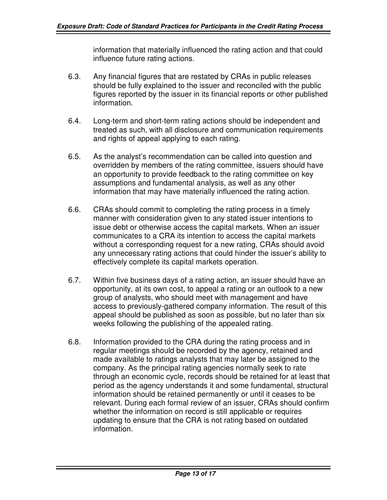information that materially influenced the rating action and that could influence future rating actions.

- 6.3. Any financial figures that are restated by CRAs in public releases should be fully explained to the issuer and reconciled with the public figures reported by the issuer in its financial reports or other published information.
- 6.4. Long-term and short-term rating actions should be independent and treated as such, with all disclosure and communication requirements and rights of appeal applying to each rating.
- 6.5. As the analyst's recommendation can be called into question and overridden by members of the rating committee, issuers should have an opportunity to provide feedback to the rating committee on key assumptions and fundamental analysis, as well as any other information that may have materially influenced the rating action.
- 6.6. CRAs should commit to completing the rating process in a timely manner with consideration given to any stated issuer intentions to issue debt or otherwise access the capital markets. When an issuer communicates to a CRA its intention to access the capital markets without a corresponding request for a new rating, CRAs should avoid any unnecessary rating actions that could hinder the issuer's ability to effectively complete its capital markets operation.
- 6.7. Within five business days of a rating action, an issuer should have an opportunity, at its own cost, to appeal a rating or an outlook to a new group of analysts, who should meet with management and have access to previously-gathered company information. The result of this appeal should be published as soon as possible, but no later than six weeks following the publishing of the appealed rating.
- 6.8. Information provided to the CRA during the rating process and in regular meetings should be recorded by the agency, retained and made available to ratings analysts that may later be assigned to the company. As the principal rating agencies normally seek to rate through an economic cycle, records should be retained for at least that period as the agency understands it and some fundamental, structural information should be retained permanently or until it ceases to be relevant. During each formal review of an issuer, CRAs should confirm whether the information on record is still applicable or requires updating to ensure that the CRA is not rating based on outdated information.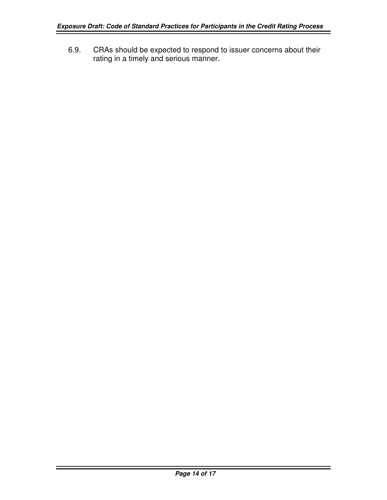6.9. CRAs should be expected to respond to issuer concerns about their rating in a timely and serious manner.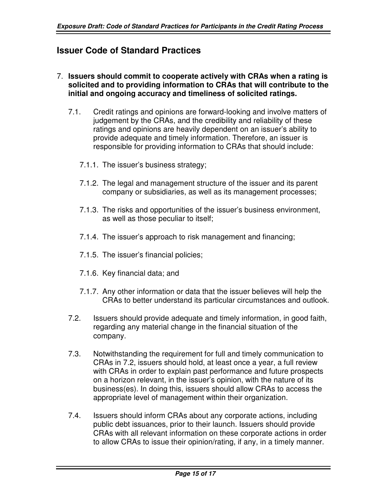# **Issuer Code of Standard Practices**

#### 7. **Issuers should commit to cooperate actively with CRAs when a rating is solicited and to providing information to CRAs that will contribute to the initial and ongoing accuracy and timeliness of solicited ratings.**

- 7.1. Credit ratings and opinions are forward-looking and involve matters of judgement by the CRAs, and the credibility and reliability of these ratings and opinions are heavily dependent on an issuer's ability to provide adequate and timely information. Therefore, an issuer is responsible for providing information to CRAs that should include:
	- 7.1.1. The issuer's business strategy;
	- 7.1.2. The legal and management structure of the issuer and its parent company or subsidiaries, as well as its management processes;
	- 7.1.3. The risks and opportunities of the issuer's business environment, as well as those peculiar to itself;
	- 7.1.4. The issuer's approach to risk management and financing;
	- 7.1.5. The issuer's financial policies;
	- 7.1.6. Key financial data; and
	- 7.1.7. Any other information or data that the issuer believes will help the CRAs to better understand its particular circumstances and outlook.
- 7.2. Issuers should provide adequate and timely information, in good faith, regarding any material change in the financial situation of the company.
- 7.3. Notwithstanding the requirement for full and timely communication to CRAs in 7.2, issuers should hold, at least once a year, a full review with CRAs in order to explain past performance and future prospects on a horizon relevant, in the issuer's opinion, with the nature of its business(es). In doing this, issuers should allow CRAs to access the appropriate level of management within their organization.
- 7.4. Issuers should inform CRAs about any corporate actions, including public debt issuances, prior to their launch. Issuers should provide CRAs with all relevant information on these corporate actions in order to allow CRAs to issue their opinion/rating, if any, in a timely manner.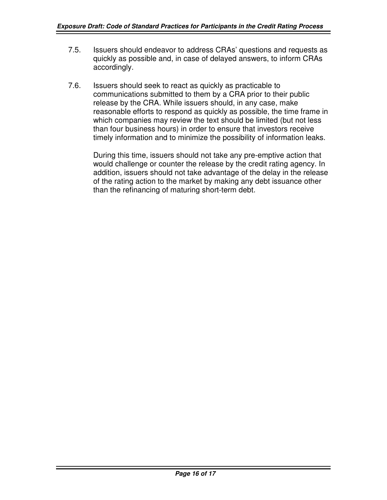- 7.5. Issuers should endeavor to address CRAs' questions and requests as quickly as possible and, in case of delayed answers, to inform CRAs accordingly.
- 7.6. Issuers should seek to react as quickly as practicable to communications submitted to them by a CRA prior to their public release by the CRA. While issuers should, in any case, make reasonable efforts to respond as quickly as possible, the time frame in which companies may review the text should be limited (but not less than four business hours) in order to ensure that investors receive timely information and to minimize the possibility of information leaks.

During this time, issuers should not take any pre-emptive action that would challenge or counter the release by the credit rating agency. In addition, issuers should not take advantage of the delay in the release of the rating action to the market by making any debt issuance other than the refinancing of maturing short-term debt.